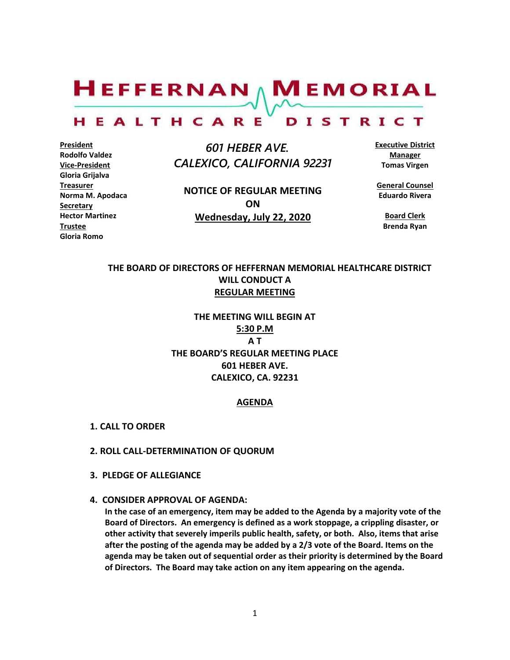$H$ EFFERNAN  $\wedge$  M EMORIAL

#### HEALTHCARE DISTRICT

**President Rodolfo Valdez Vice-President Gloria Grijalva Treasurer Norma M. Apodaca Secretary Hector Martinez Trustee Gloria Romo**

 *601 HEBER AVE. CALEXICO, CALIFORNIA 92231*

**NOTICE OF REGULAR MEETING ON Wednesday, July 22, 2020**

**Executive District Manager Tomas Virgen**

**General Counsel Eduardo Rivera**

**Board Clerk Brenda Ryan**

# **THE BOARD OF DIRECTORS OF HEFFERNAN MEMORIAL HEALTHCARE DISTRICT WILL CONDUCT A REGULAR MEETING**

**THE MEETING WILL BEGIN AT 5:30 P.M A T THE BOARD'S REGULAR MEETING PLACE 601 HEBER AVE. CALEXICO, CA. 92231**

#### **AGENDA**

- **1. CALL TO ORDER**
- **2. ROLL CALL-DETERMINATION OF QUORUM**
- **3. PLEDGE OF ALLEGIANCE**
- **4. CONSIDER APPROVAL OF AGENDA:**

**In the case of an emergency, item may be added to the Agenda by a majority vote of the Board of Directors. An emergency is defined as a work stoppage, a crippling disaster, or other activity that severely imperils public health, safety, or both. Also, items that arise after the posting of the agenda may be added by a 2/3 vote of the Board. Items on the agenda may be taken out of sequential order as their priority is determined by the Board of Directors. The Board may take action on any item appearing on the agenda.**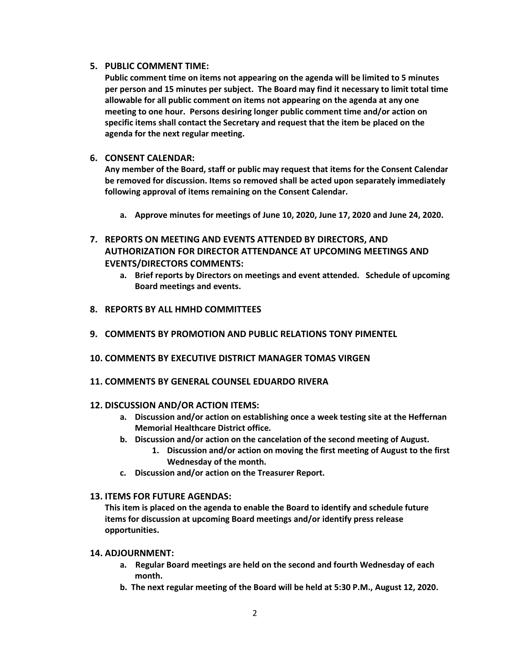# **5. PUBLIC COMMENT TIME:**

**Public comment time on items not appearing on the agenda will be limited to 5 minutes per person and 15 minutes per subject. The Board may find it necessary to limit total time allowable for all public comment on items not appearing on the agenda at any one meeting to one hour. Persons desiring longer public comment time and/or action on specific items shall contact the Secretary and request that the item be placed on the agenda for the next regular meeting.**

# **6. CONSENT CALENDAR:**

**Any member of the Board, staff or public may request that items for the Consent Calendar be removed for discussion. Items so removed shall be acted upon separately immediately following approval of items remaining on the Consent Calendar.**

- **a. Approve minutes for meetings of June 10, 2020, June 17, 2020 and June 24, 2020.**
- **7. REPORTS ON MEETING AND EVENTS ATTENDED BY DIRECTORS, AND AUTHORIZATION FOR DIRECTOR ATTENDANCE AT UPCOMING MEETINGS AND EVENTS/DIRECTORS COMMENTS:**
	- **a. Brief reports by Directors on meetings and event attended. Schedule of upcoming Board meetings and events.**
- **8. REPORTS BY ALL HMHD COMMITTEES**
- **9. COMMENTS BY PROMOTION AND PUBLIC RELATIONS TONY PIMENTEL**
- **10. COMMENTS BY EXECUTIVE DISTRICT MANAGER TOMAS VIRGEN**
- **11. COMMENTS BY GENERAL COUNSEL EDUARDO RIVERA**

# **12. DISCUSSION AND/OR ACTION ITEMS:**

- **a. Discussion and/or action on establishing once a week testing site at the Heffernan Memorial Healthcare District office.**
- **b. Discussion and/or action on the cancelation of the second meeting of August.**
	- **1. Discussion and/or action on moving the first meeting of August to the first Wednesday of the month.**
- **c. Discussion and/or action on the Treasurer Report.**

# **13. ITEMS FOR FUTURE AGENDAS:**

**This item is placed on the agenda to enable the Board to identify and schedule future items for discussion at upcoming Board meetings and/or identify press release opportunities.**

# **14. ADJOURNMENT:**

- **a. Regular Board meetings are held on the second and fourth Wednesday of each month.**
- **b. The next regular meeting of the Board will be held at 5:30 P.M., August 12, 2020.**